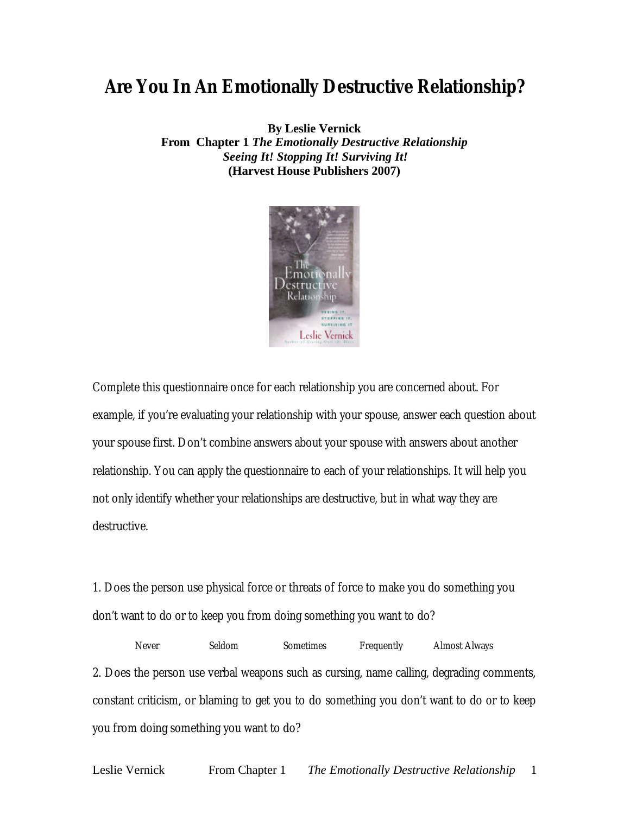## **Are You In An Emotionally Destructive Relationship?**

**By Leslie Vernick From Chapter 1** *The Emotionally Destructive Relationship Seeing It! Stopping It! Surviving It!* **(Harvest House Publishers 2007)**



Complete this questionnaire once for each relationship you are concerned about. For example, if you're evaluating your relationship with your spouse, answer each question about your spouse first. Don't combine answers about your spouse with answers about another relationship. You can apply the questionnaire to each of your relationships. It will help you not only identify whether your relationships are destructive, but in what way they are destructive.

1. Does the person use physical force or threats of force to make you do something you don't want to do or to keep you from doing something you want to do?

Never Seldom Sometimes Frequently Almost Always 2. Does the person use verbal weapons such as cursing, name calling, degrading comments, constant criticism, or blaming to get you to do something you don't want to do or to keep you from doing something you want to do?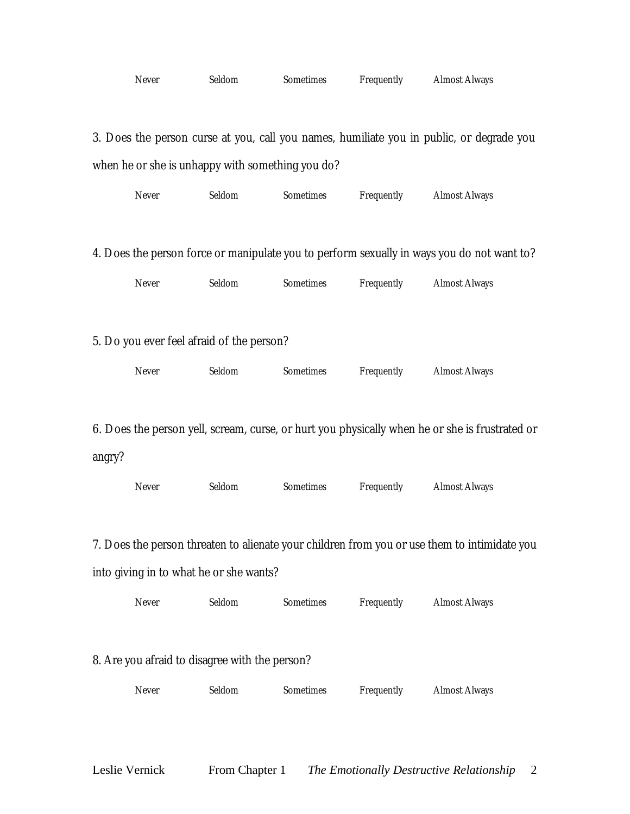|                                                                                              | Never                                            | Seldom | Sometimes | Frequently | <b>Almost Always</b>                                                                           |  |  |
|----------------------------------------------------------------------------------------------|--------------------------------------------------|--------|-----------|------------|------------------------------------------------------------------------------------------------|--|--|
|                                                                                              |                                                  |        |           |            |                                                                                                |  |  |
| 3. Does the person curse at you, call you names, humiliate you in public, or degrade you     |                                                  |        |           |            |                                                                                                |  |  |
|                                                                                              | when he or she is unhappy with something you do? |        |           |            |                                                                                                |  |  |
|                                                                                              | Never                                            | Seldom | Sometimes | Frequently | <b>Almost Always</b>                                                                           |  |  |
|                                                                                              |                                                  |        |           |            | 4. Does the person force or manipulate you to perform sexually in ways you do not want to?     |  |  |
|                                                                                              | Never                                            | Seldom | Sometimes | Frequently | <b>Almost Always</b>                                                                           |  |  |
|                                                                                              | 5. Do you ever feel afraid of the person?        |        |           |            |                                                                                                |  |  |
|                                                                                              | Never                                            | Seldom | Sometimes | Frequently | <b>Almost Always</b>                                                                           |  |  |
|                                                                                              |                                                  |        |           |            |                                                                                                |  |  |
|                                                                                              |                                                  |        |           |            | 6. Does the person yell, scream, curse, or hurt you physically when he or she is frustrated or |  |  |
| angry?                                                                                       | Never                                            | Seldom | Sometimes | Frequently | <b>Almost Always</b>                                                                           |  |  |
|                                                                                              |                                                  |        |           |            |                                                                                                |  |  |
| 7. Does the person threaten to alienate your children from you or use them to intimidate you |                                                  |        |           |            |                                                                                                |  |  |
| into giving in to what he or she wants?                                                      |                                                  |        |           |            |                                                                                                |  |  |
|                                                                                              | Never                                            | Seldom | Sometimes | Frequently | <b>Almost Always</b>                                                                           |  |  |
| 8. Are you afraid to disagree with the person?                                               |                                                  |        |           |            |                                                                                                |  |  |
|                                                                                              |                                                  |        |           |            |                                                                                                |  |  |
|                                                                                              | Never                                            | Seldom | Sometimes | Frequently | <b>Almost Always</b>                                                                           |  |  |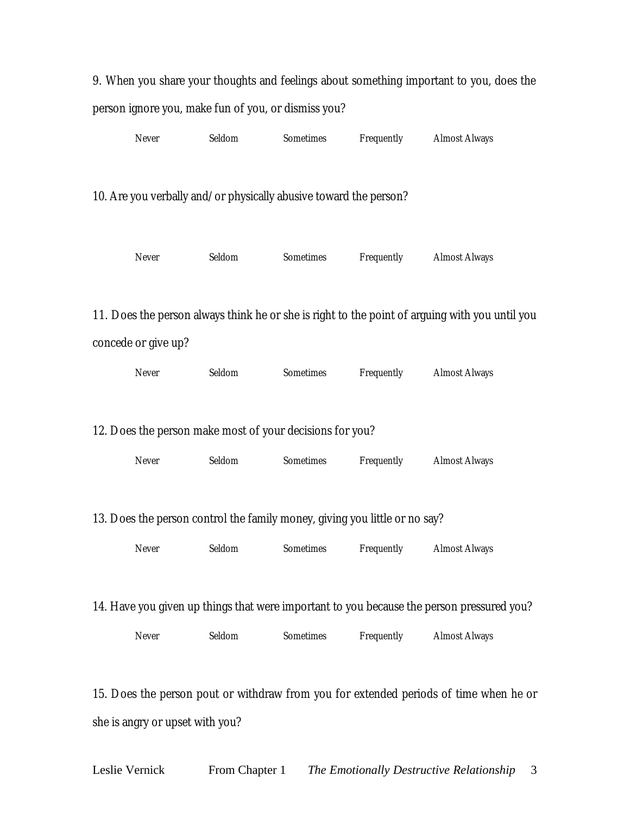|                                                                                           |                     |        |                                                                   |            | 9. When you share your thoughts and feelings about something important to you, does the        |  |
|-------------------------------------------------------------------------------------------|---------------------|--------|-------------------------------------------------------------------|------------|------------------------------------------------------------------------------------------------|--|
| person ignore you, make fun of you, or dismiss you?                                       |                     |        |                                                                   |            |                                                                                                |  |
|                                                                                           | Never               | Seldom | Sometimes                                                         | Frequently | <b>Almost Always</b>                                                                           |  |
|                                                                                           |                     |        |                                                                   |            |                                                                                                |  |
|                                                                                           |                     |        | 10. Are you verbally and/or physically abusive toward the person? |            |                                                                                                |  |
|                                                                                           |                     |        |                                                                   |            |                                                                                                |  |
|                                                                                           | Never               | Seldom | Sometimes                                                         | Frequently | <b>Almost Always</b>                                                                           |  |
|                                                                                           |                     |        |                                                                   |            |                                                                                                |  |
|                                                                                           |                     |        |                                                                   |            | 11. Does the person always think he or she is right to the point of arguing with you until you |  |
|                                                                                           | concede or give up? |        |                                                                   |            |                                                                                                |  |
|                                                                                           | Never               | Seldom | Sometimes                                                         | Frequently | <b>Almost Always</b>                                                                           |  |
|                                                                                           |                     |        |                                                                   |            |                                                                                                |  |
| 12. Does the person make most of your decisions for you?                                  |                     |        |                                                                   |            |                                                                                                |  |
|                                                                                           | Never               | Seldom | Sometimes                                                         | Frequently | <b>Almost Always</b>                                                                           |  |
|                                                                                           |                     |        |                                                                   |            |                                                                                                |  |
| 13. Does the person control the family money, giving you little or no say?                |                     |        |                                                                   |            |                                                                                                |  |
|                                                                                           | Never               | Seldom | Sometimes                                                         | Frequently | <b>Almost Always</b>                                                                           |  |
|                                                                                           |                     |        |                                                                   |            |                                                                                                |  |
| 14. Have you given up things that were important to you because the person pressured you? |                     |        |                                                                   |            |                                                                                                |  |
|                                                                                           | Never               | Seldom | Sometimes                                                         | Frequently | <b>Almost Always</b>                                                                           |  |
|                                                                                           |                     |        |                                                                   |            |                                                                                                |  |
|                                                                                           |                     |        |                                                                   |            | 15. Does the person pout or withdraw from you for extended periods of time when he or          |  |
| she is angry or upset with you?                                                           |                     |        |                                                                   |            |                                                                                                |  |
|                                                                                           |                     |        |                                                                   |            |                                                                                                |  |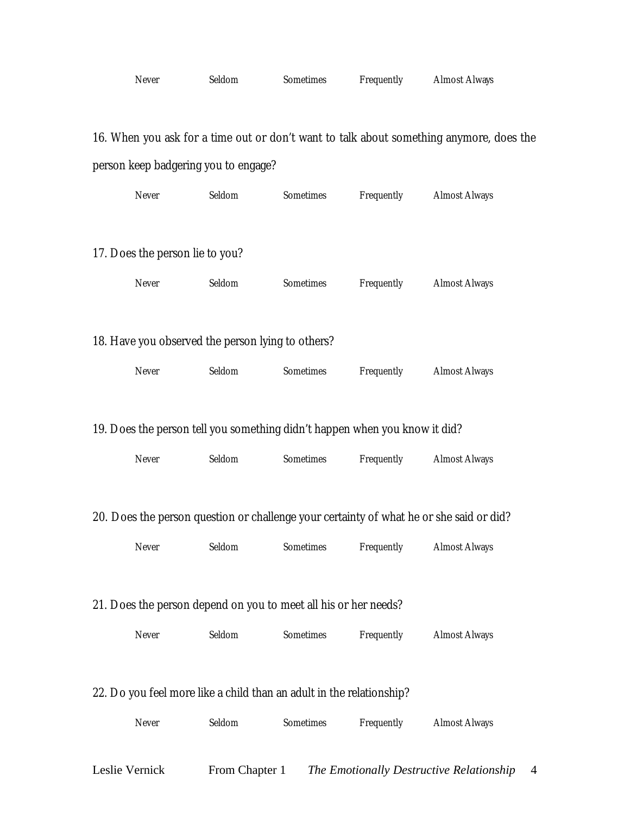| Never | Seldom | Sometimes | Frequently | <b>Almost Always</b> |
|-------|--------|-----------|------------|----------------------|
|-------|--------|-----------|------------|----------------------|

16. When you ask for a time out or don't want to talk about something anymore, does the person keep badgering you to engage?

|                                                                                         | Never                           | Seldom                                            | Sometimes                                                                  | Frequently | <b>Almost Always</b> |  |
|-----------------------------------------------------------------------------------------|---------------------------------|---------------------------------------------------|----------------------------------------------------------------------------|------------|----------------------|--|
|                                                                                         | 17. Does the person lie to you? |                                                   |                                                                            |            |                      |  |
|                                                                                         | Never                           | Seldom                                            | Sometimes                                                                  | Frequently | <b>Almost Always</b> |  |
|                                                                                         |                                 | 18. Have you observed the person lying to others? |                                                                            |            |                      |  |
|                                                                                         | Never                           | Seldom                                            | Sometimes                                                                  | Frequently | <b>Almost Always</b> |  |
|                                                                                         |                                 |                                                   |                                                                            |            |                      |  |
|                                                                                         |                                 |                                                   | 19. Does the person tell you something didn't happen when you know it did? |            |                      |  |
|                                                                                         | Never                           | Seldom                                            | Sometimes                                                                  | Frequently | <b>Almost Always</b> |  |
| 20. Does the person question or challenge your certainty of what he or she said or did? |                                 |                                                   |                                                                            |            |                      |  |
|                                                                                         | Never                           | Seldom                                            | Sometimes                                                                  | Frequently | <b>Almost Always</b> |  |
|                                                                                         |                                 |                                                   |                                                                            |            |                      |  |
| 21. Does the person depend on you to meet all his or her needs?                         |                                 |                                                   |                                                                            |            |                      |  |
|                                                                                         | Never                           | Seldom                                            | Sometimes                                                                  | Frequently | <b>Almost Always</b> |  |
|                                                                                         |                                 |                                                   |                                                                            |            |                      |  |
|                                                                                         |                                 |                                                   | 22. Do you feel more like a child than an adult in the relationship?       |            |                      |  |
|                                                                                         | Never                           | Seldom                                            | Sometimes                                                                  | Frequently | <b>Almost Always</b> |  |
|                                                                                         |                                 |                                                   |                                                                            |            |                      |  |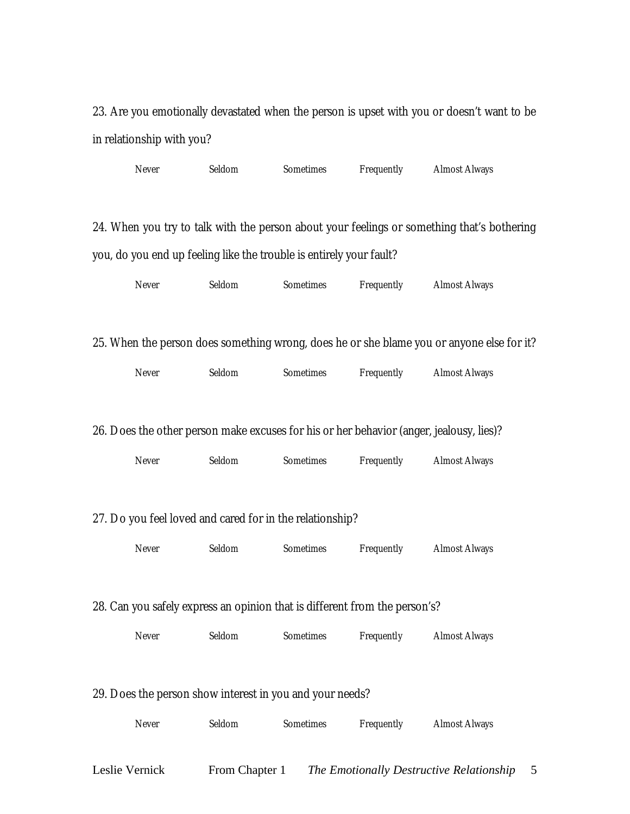23. Are you emotionally devastated when the person is upset with you or doesn't want to be in relationship with you?

| Never | Seldom | Sometimes                                                                  | Frequently | <b>Almost Always</b>                                                                       |  |
|-------|--------|----------------------------------------------------------------------------|------------|--------------------------------------------------------------------------------------------|--|
|       |        |                                                                            |            | 24. When you try to talk with the person about your feelings or something that's bothering |  |
|       |        | you, do you end up feeling like the trouble is entirely your fault?        |            |                                                                                            |  |
| Never | Seldom | Sometimes                                                                  | Frequently | <b>Almost Always</b>                                                                       |  |
|       |        |                                                                            |            | 25. When the person does something wrong, does he or she blame you or anyone else for it?  |  |
| Never | Seldom | Sometimes                                                                  | Frequently | <b>Almost Always</b>                                                                       |  |
|       |        |                                                                            |            | 26. Does the other person make excuses for his or her behavior (anger, jealousy, lies)?    |  |
| Never | Seldom | Sometimes                                                                  | Frequently | <b>Almost Always</b>                                                                       |  |
|       |        | 27. Do you feel loved and cared for in the relationship?                   |            |                                                                                            |  |
| Never | Seldom | Sometimes                                                                  | Frequently | <b>Almost Always</b>                                                                       |  |
|       |        | 28. Can you safely express an opinion that is different from the person's? |            |                                                                                            |  |
| Never | Seldom | Sometimes                                                                  | Frequently | <b>Almost Always</b>                                                                       |  |
|       |        | 29. Does the person show interest in you and your needs?                   |            |                                                                                            |  |
| Never | Seldom | Sometimes                                                                  | Frequently | <b>Almost Always</b>                                                                       |  |

Leslie Vernick From Chapter 1 *The Emotionally Destructive Relationship* 5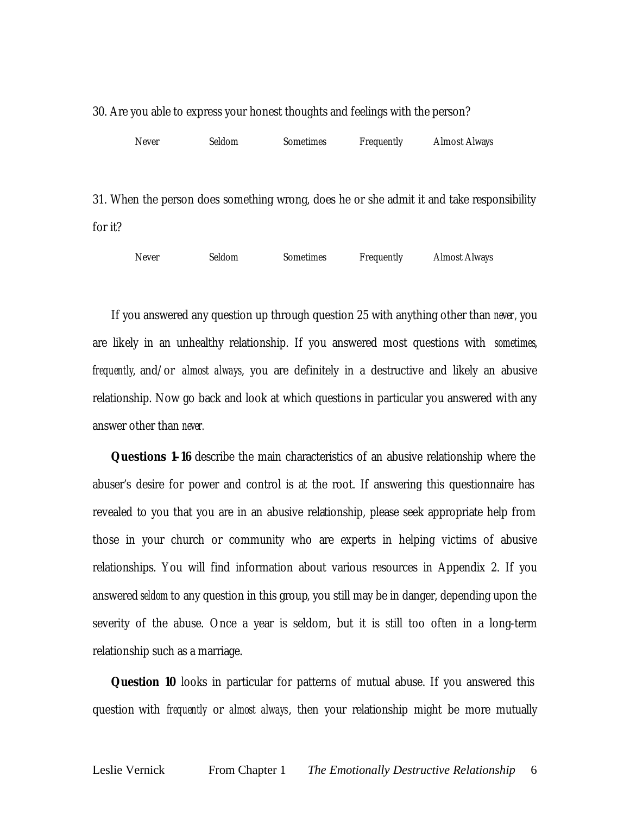| Never | Seldom | <b>Sometimes</b> | Frequently | <b>Almost Always</b> |
|-------|--------|------------------|------------|----------------------|

30. Are you able to express your honest thoughts and feelings with the person?

31. When the person does something wrong, does he or she admit it and take responsibility for it?

| Never | Seldom | Sometimes | Frequently | <b>Almost Always</b> |
|-------|--------|-----------|------------|----------------------|
|-------|--------|-----------|------------|----------------------|

If you answered any question up through question 25 with anything other than *never,* you are likely in an unhealthy relationship. If you answered most questions with *sometimes*, *frequently*, and/or *almost always*, you are definitely in a destructive and likely an abusive relationship. Now go back and look at which questions in particular you answered with any answer other than *never.*

**Questions 1–16** describe the main characteristics of an abusive relationship where the abuser's desire for power and control is at the root. If answering this questionnaire has revealed to you that you are in an abusive relationship, please seek appropriate help from those in your church or community who are experts in helping victims of abusive relationships. You will find information about various resources in Appendix 2. If you answered *seldom* to any question in this group, you still may be in danger, depending upon the severity of the abuse. Once a year is seldom, but it is still too often in a long-term relationship such as a marriage.

**Question 10** looks in particular for patterns of mutual abuse. If you answered this question with *frequently* or *almost always*, then your relationship might be more mutually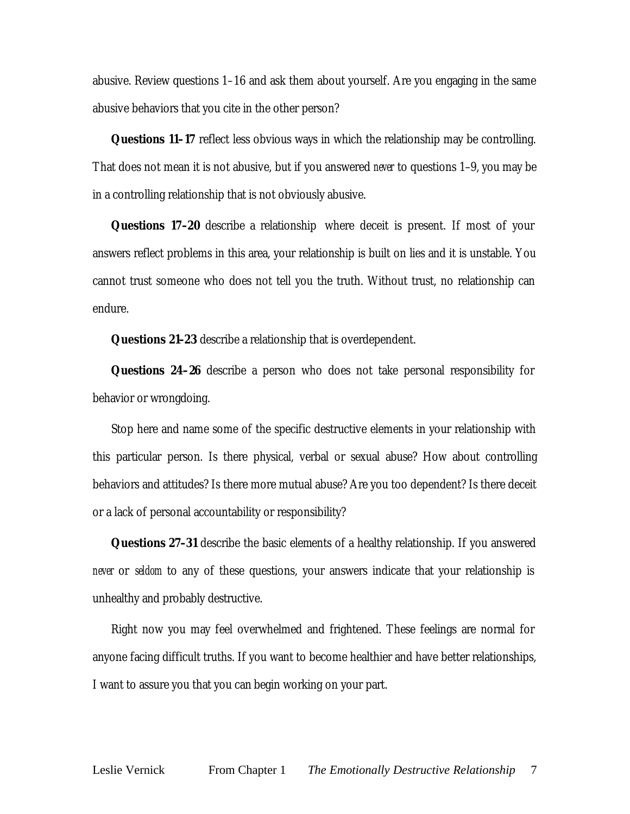abusive. Review questions 1–16 and ask them about yourself. Are you engaging in the same abusive behaviors that you cite in the other person?

**Questions 11–17** reflect less obvious ways in which the relationship may be controlling. That does not mean it is not abusive, but if you answered *never* to questions 1–9, you may be in a controlling relationship that is not obviously abusive.

**Questions 17–20** describe a relationship where deceit is present. If most of your answers reflect problems in this area, your relationship is built on lies and it is unstable. You cannot trust someone who does not tell you the truth. Without trust, no relationship can endure.

**Questions 21–23** describe a relationship that is overdependent.

**Questions 24–26** describe a person who does not take personal responsibility for behavior or wrongdoing.

Stop here and name some of the specific destructive elements in your relationship with this particular person. Is there physical, verbal or sexual abuse? How about controlling behaviors and attitudes? Is there more mutual abuse? Are you too dependent? Is there deceit or a lack of personal accountability or responsibility?

**Questions 27–31** describe the basic elements of a healthy relationship. If you answered *never* or *seldom* to any of these questions, your answers indicate that your relationship is unhealthy and probably destructive.

Right now you may feel overwhelmed and frightened. These feelings are normal for anyone facing difficult truths. If you want to become healthier and have better relationships, I want to assure you that you can begin working on your part.